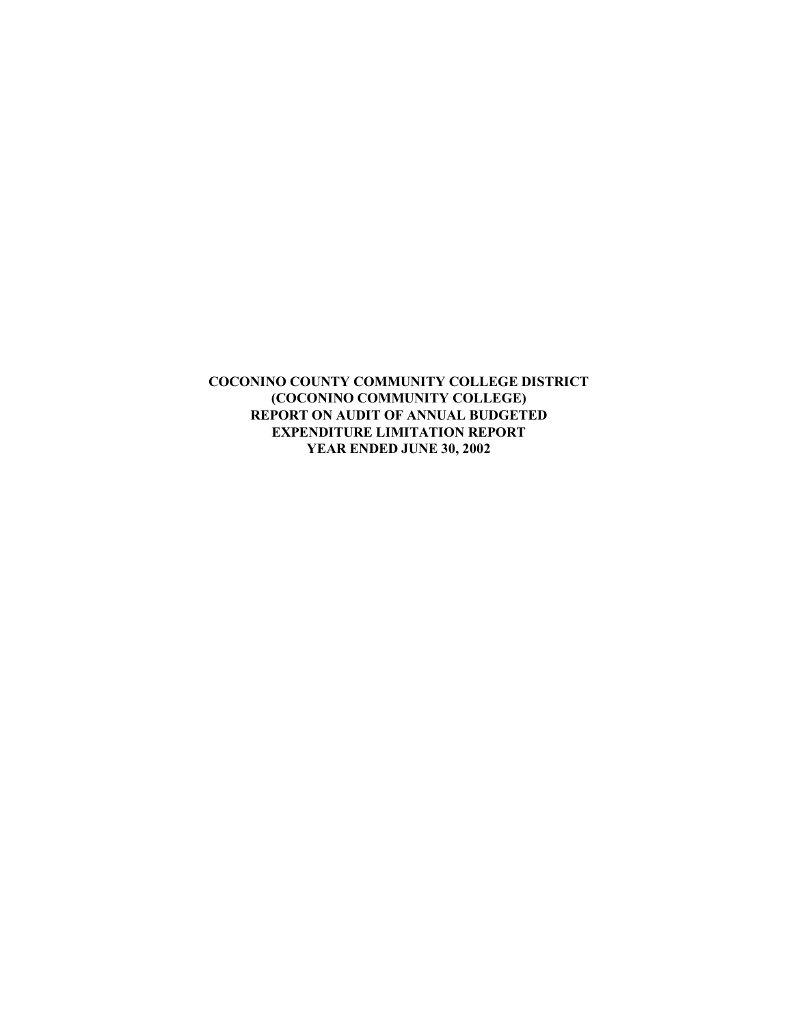**COCONINO COUNTY COMMUNITY COLLEGE DISTRICT (COCONINO COMMUNITY COLLEGE) REPORT ON AUDIT OF ANNUAL BUDGETED EXPENDITURE LIMITATION REPORT YEAR ENDED JUNE 30, 2002**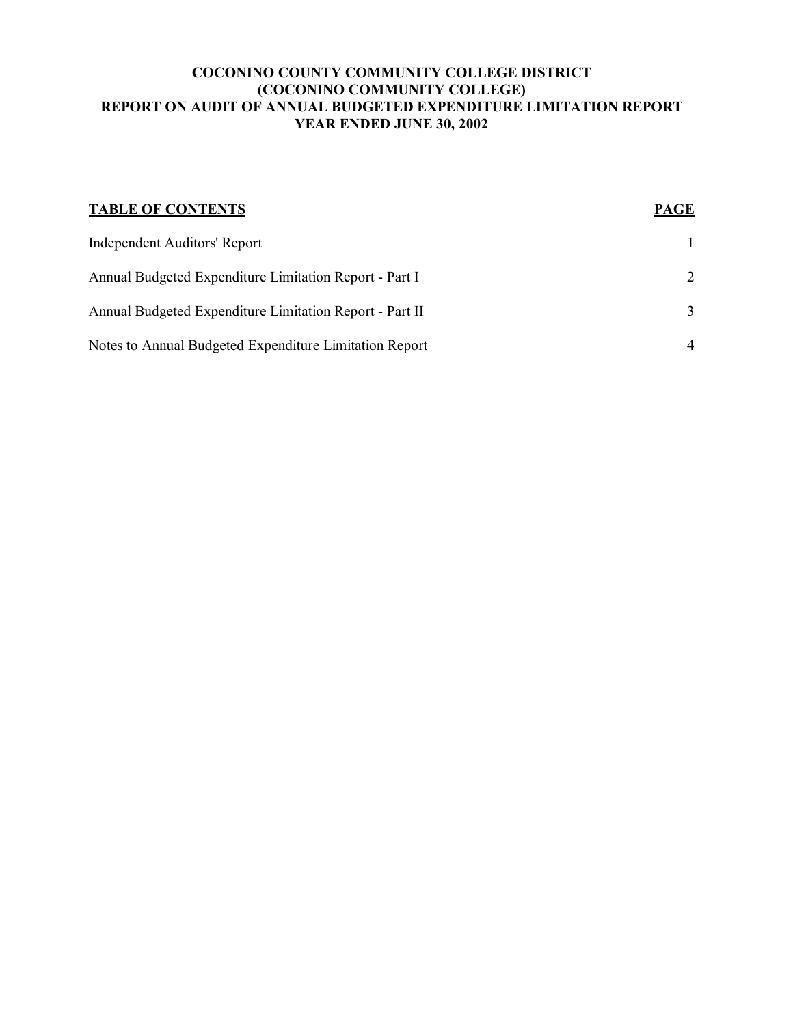#### **COCONINO COUNTY COMMUNITY COLLEGE DISTRICT (COCONINO COMMUNITY COLLEGE) REPORT ON AUDIT OF ANNUAL BUDGETED EXPENDITURE LIMITATION REPORT YEAR ENDED JUNE 30, 2002**

| <b>TABLE OF CONTENTS</b>                                | <b>PAGE</b>    |
|---------------------------------------------------------|----------------|
| Independent Auditors' Report                            |                |
| Annual Budgeted Expenditure Limitation Report - Part I  | 2              |
| Annual Budgeted Expenditure Limitation Report - Part II | $\mathcal{F}$  |
| Notes to Annual Budgeted Expenditure Limitation Report  | $\overline{4}$ |
|                                                         |                |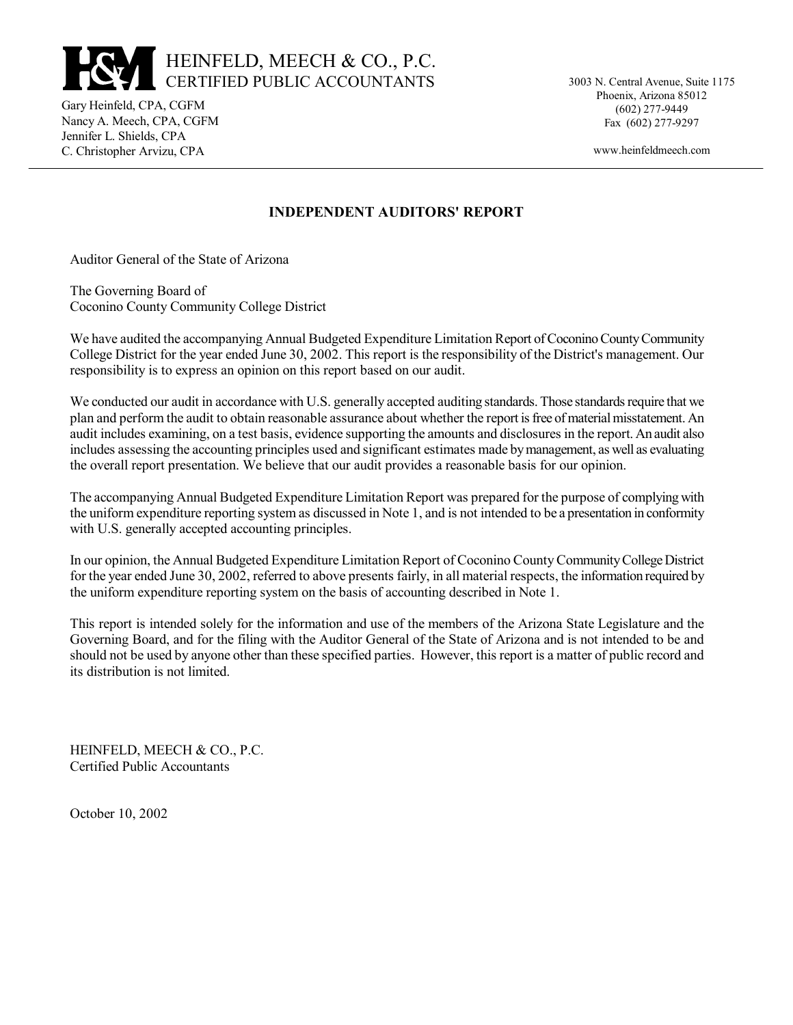# HEINFELD, MEECH & CO., P.C. CERTIFIED PUBLIC ACCOUNTANTS

Gary Heinfeld, CPA, CGFM Nancy A. Meech, CPA, CGFM Jennifer L. Shields, CPA C. Christopher Arvizu, CPA

3003 N. Central Avenue, Suite 1175 Phoenix, Arizona 85012 (602) 277-9449 Fax (602) 277-9297

www.heinfeldmeech.com

## **INDEPENDENT AUDITORS' REPORT**

Auditor General of the State of Arizona

The Governing Board of Coconino County Community College District

We have audited the accompanying Annual Budgeted Expenditure Limitation Report of Coconino County Community College District for the year ended June 30, 2002. This report is the responsibility of the District's management. Our responsibility is to express an opinion on this report based on our audit.

We conducted our audit in accordance with U.S. generally accepted auditing standards. Those standards require that we plan and perform the audit to obtain reasonable assurance about whether the report is free of material misstatement. An audit includes examining, on a test basis, evidence supporting the amounts and disclosures in the report. An audit also includes assessing the accounting principles used and significant estimates made by management, as well as evaluating the overall report presentation. We believe that our audit provides a reasonable basis for our opinion.

The accompanying Annual Budgeted Expenditure Limitation Report was prepared for the purpose of complying with the uniform expenditure reporting system as discussed in Note 1, and is not intended to be a presentation in conformity with U.S. generally accepted accounting principles.

In our opinion, the Annual Budgeted Expenditure Limitation Report of Coconino County Community College District for the year ended June 30, 2002, referred to above presents fairly, in all material respects, the information required by the uniform expenditure reporting system on the basis of accounting described in Note 1.

This report is intended solely for the information and use of the members of the Arizona State Legislature and the Governing Board, and for the filing with the Auditor General of the State of Arizona and is not intended to be and should not be used by anyone other than these specified parties. However, this report is a matter of public record and its distribution is not limited.

HEINFELD, MEECH & CO., P.C. Certified Public Accountants

October 10, 2002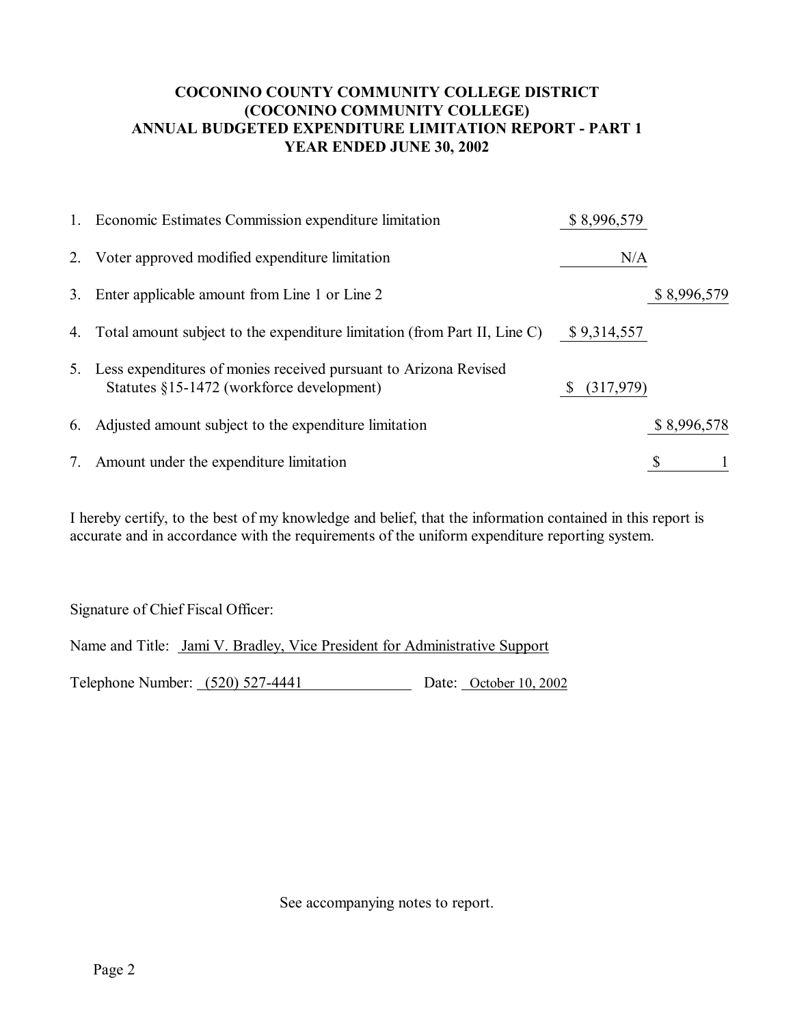# **COCONINO COUNTY COMMUNITY COLLEGE DISTRICT (COCONINO COMMUNITY COLLEGE) ANNUAL BUDGETED EXPENDITURE LIMITATION REPORT - PART 1 YEAR ENDED JUNE 30, 2002**

| 1. Economic Estimates Commission expenditure limitation                                                          | \$8,996,579      |             |
|------------------------------------------------------------------------------------------------------------------|------------------|-------------|
| 2. Voter approved modified expenditure limitation                                                                | N/A              |             |
| 3. Enter applicable amount from Line 1 or Line 2                                                                 |                  | \$8,996,579 |
| 4. Total amount subject to the expenditure limitation (from Part II, Line C)                                     | \$9,314,557      |             |
| 5. Less expenditures of monies received pursuant to Arizona Revised<br>Statutes §15-1472 (workforce development) | (317,979)<br>\$. |             |
| 6. Adjusted amount subject to the expenditure limitation                                                         |                  | \$8,996,578 |
| 7. Amount under the expenditure limitation                                                                       |                  |             |

I hereby certify, to the best of my knowledge and belief, that the information contained in this report is accurate and in accordance with the requirements of the uniform expenditure reporting system.

Signature of Chief Fiscal Officer:

Name and Title: Jami V. Bradley, Vice President for Administrative Support Telephone Number: (520) 527-4441 Date: October 10, 2002

See accompanying notes to report.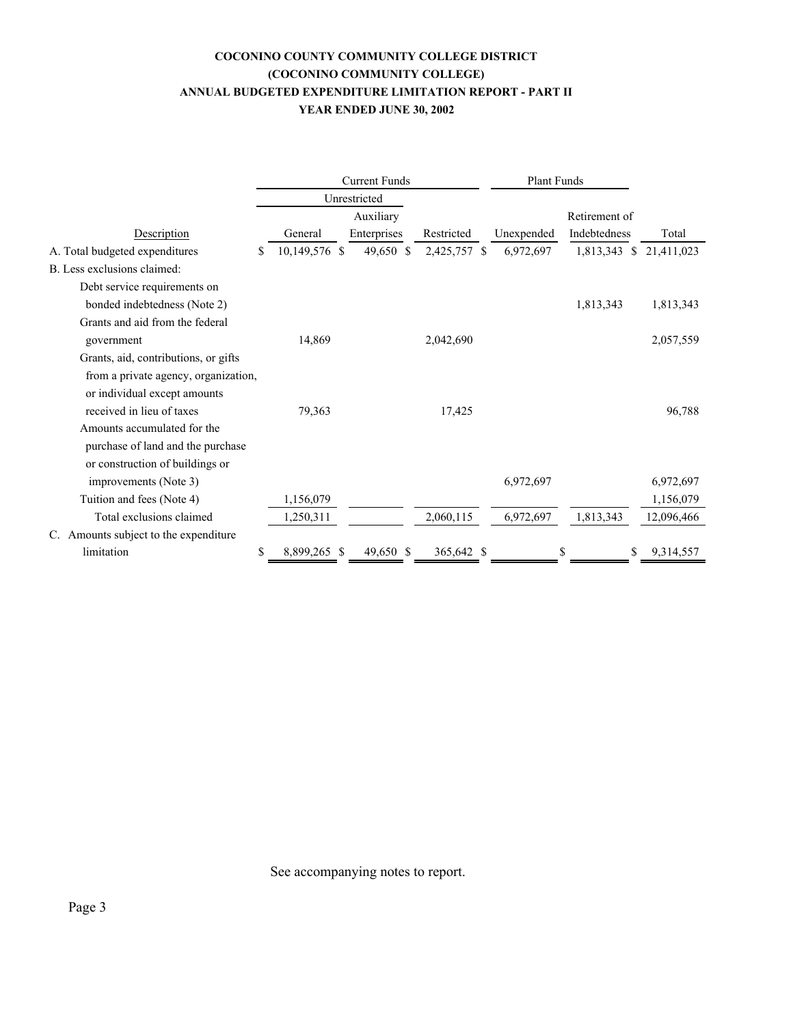#### **COCONINO COUNTY COMMUNITY COLLEGE DISTRICT (COCONINO COMMUNITY COLLEGE) ANNUAL BUDGETED EXPENDITURE LIMITATION REPORT - PART II YEAR ENDED JUNE 30, 2002**

|                                       | <b>Current Funds</b> |               |    |             | Plant Funds  |               |              |                            |
|---------------------------------------|----------------------|---------------|----|-------------|--------------|---------------|--------------|----------------------------|
|                                       | Unrestricted         |               |    |             |              |               |              |                            |
|                                       |                      | Auxiliary     |    |             |              | Retirement of |              |                            |
| Description                           |                      | General       |    | Enterprises | Restricted   | Unexpended    | Indebtedness | Total                      |
| A. Total budgeted expenditures        | \$                   | 10,149,576 \$ |    | 49,650 \$   | 2,425,757 \$ | 6,972,697     | 1,813,343    | $\mathbb{S}$<br>21,411,023 |
| B. Less exclusions claimed:           |                      |               |    |             |              |               |              |                            |
| Debt service requirements on          |                      |               |    |             |              |               |              |                            |
| bonded indebtedness (Note 2)          |                      |               |    |             |              |               | 1,813,343    | 1,813,343                  |
| Grants and aid from the federal       |                      |               |    |             |              |               |              |                            |
| government                            |                      | 14,869        |    |             | 2,042,690    |               |              | 2,057,559                  |
| Grants, aid, contributions, or gifts  |                      |               |    |             |              |               |              |                            |
| from a private agency, organization,  |                      |               |    |             |              |               |              |                            |
| or individual except amounts          |                      |               |    |             |              |               |              |                            |
| received in lieu of taxes             |                      | 79,363        |    |             | 17,425       |               |              | 96,788                     |
| Amounts accumulated for the           |                      |               |    |             |              |               |              |                            |
| purchase of land and the purchase     |                      |               |    |             |              |               |              |                            |
| or construction of buildings or       |                      |               |    |             |              |               |              |                            |
| improvements (Note 3)                 |                      |               |    |             |              | 6,972,697     |              | 6,972,697                  |
| Tuition and fees (Note 4)             |                      | 1,156,079     |    |             |              |               |              | 1,156,079                  |
| Total exclusions claimed              |                      | 1,250,311     |    |             | 2,060,115    | 6,972,697     | 1,813,343    | 12,096,466                 |
| C. Amounts subject to the expenditure |                      |               |    |             |              |               |              |                            |
| limitation                            | \$                   | 8,899,265     | -S | 49,650 \$   | 365,642 \$   |               | \$           | 9,314,557<br>\$            |

See accompanying notes to report.